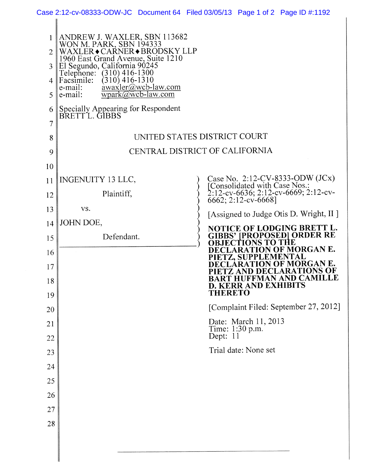| Case 2:12-cv-08333-ODW-JC Document 64 Filed 03/05/13 Page 1 of 2 Page ID #:1192 |  |  |  |  |
|---------------------------------------------------------------------------------|--|--|--|--|
|---------------------------------------------------------------------------------|--|--|--|--|

| 1<br>2<br>3<br>4<br>5<br>6 | ANDREW J. WAXLER, SBN 113682<br>WON M. PARK, SBN 194333<br>WAXLER • CARNER • BRODSKY LLP<br>1960 East Grand Avenue, Suite 1210<br>El Segundo, California 90245<br>Telephone:<br>$(310)$ 416-1300<br>Facsimile:<br>$(310)$ 416-1310<br>awaxler@wcb-law.com<br>e-mail:<br>$wpark@wcb-law.com$<br>e-mail:<br>Specially Appearing for Respondent<br>BRETTL. GIBBS |                                                                                                                                 |  |  |  |  |  |
|----------------------------|---------------------------------------------------------------------------------------------------------------------------------------------------------------------------------------------------------------------------------------------------------------------------------------------------------------------------------------------------------------|---------------------------------------------------------------------------------------------------------------------------------|--|--|--|--|--|
| 7                          |                                                                                                                                                                                                                                                                                                                                                               |                                                                                                                                 |  |  |  |  |  |
| 8                          |                                                                                                                                                                                                                                                                                                                                                               | UNITED STATES DISTRICT COURT                                                                                                    |  |  |  |  |  |
| 9                          | CENTRAL DISTRICT OF CALIFORNIA                                                                                                                                                                                                                                                                                                                                |                                                                                                                                 |  |  |  |  |  |
| 10                         |                                                                                                                                                                                                                                                                                                                                                               |                                                                                                                                 |  |  |  |  |  |
| 11                         | INGENUITY 13 LLC,                                                                                                                                                                                                                                                                                                                                             | Case No. 2:12-CV-8333-ODW (JCx)<br>[Consolidated with Case Nos.:                                                                |  |  |  |  |  |
| 12                         | Plaintiff,                                                                                                                                                                                                                                                                                                                                                    | $2:12$ -cv-6636; 2:12-cv-6669; 2:12-cv-<br>6662; 2:12-cv-6668]                                                                  |  |  |  |  |  |
| 13                         | VS.                                                                                                                                                                                                                                                                                                                                                           |                                                                                                                                 |  |  |  |  |  |
| 14                         | JOHN DOE,                                                                                                                                                                                                                                                                                                                                                     | [Assigned to Judge Otis D. Wright, II ]<br>NOTICE OF LODGING BRETT L.<br><b>GIBBS' [PROPOSED] ORDER RE</b><br>OBJECTIONS TO THE |  |  |  |  |  |
| 15                         | Defendant.                                                                                                                                                                                                                                                                                                                                                    |                                                                                                                                 |  |  |  |  |  |
| 16                         |                                                                                                                                                                                                                                                                                                                                                               | <b>TON OF MORGAN E.</b><br>PPLEMENTAL                                                                                           |  |  |  |  |  |
| 17                         |                                                                                                                                                                                                                                                                                                                                                               | F MORGAN E.                                                                                                                     |  |  |  |  |  |
| 18                         |                                                                                                                                                                                                                                                                                                                                                               | BART HUFFMAN AND CAMIL<br><b>D. KERR AND EXHIBITS</b><br><b>THERETO</b>                                                         |  |  |  |  |  |
| 19                         |                                                                                                                                                                                                                                                                                                                                                               | [Complaint Filed: September 27, 2012]                                                                                           |  |  |  |  |  |
| 20                         |                                                                                                                                                                                                                                                                                                                                                               |                                                                                                                                 |  |  |  |  |  |
| 21<br>22                   |                                                                                                                                                                                                                                                                                                                                                               | Date: March 11, 2013<br>Time: 1:30 p.m.<br>Dept: 11                                                                             |  |  |  |  |  |
| 23                         |                                                                                                                                                                                                                                                                                                                                                               | Trial date: None set                                                                                                            |  |  |  |  |  |
| 24                         |                                                                                                                                                                                                                                                                                                                                                               |                                                                                                                                 |  |  |  |  |  |
| 25                         |                                                                                                                                                                                                                                                                                                                                                               |                                                                                                                                 |  |  |  |  |  |
| 26                         |                                                                                                                                                                                                                                                                                                                                                               |                                                                                                                                 |  |  |  |  |  |
| 27                         |                                                                                                                                                                                                                                                                                                                                                               |                                                                                                                                 |  |  |  |  |  |
| 28                         |                                                                                                                                                                                                                                                                                                                                                               |                                                                                                                                 |  |  |  |  |  |
|                            |                                                                                                                                                                                                                                                                                                                                                               |                                                                                                                                 |  |  |  |  |  |